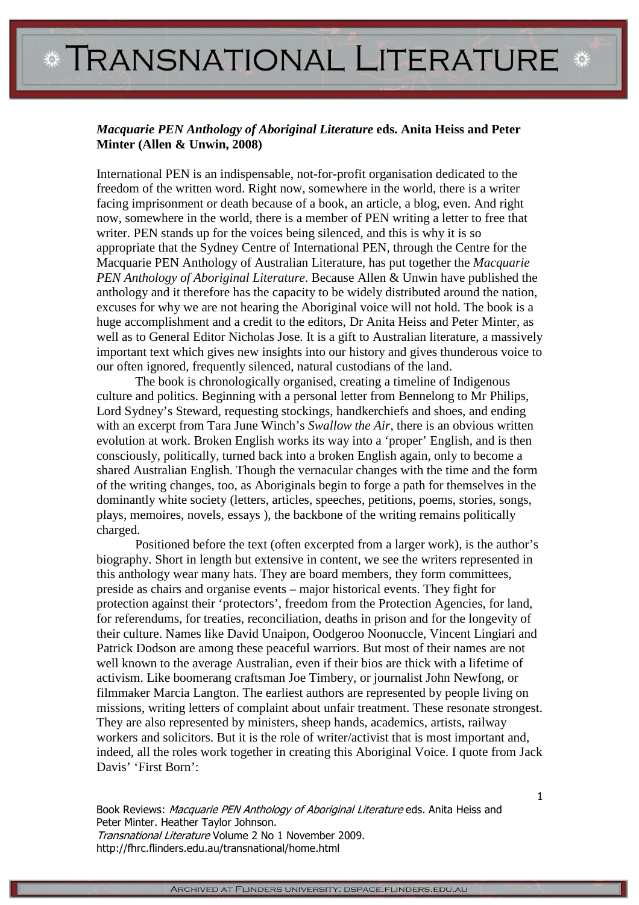## *Macquarie PEN Anthology of Aboriginal Literature* **eds. Anita Heiss and Peter Minter (Allen & Unwin, 2008)**

International PEN is an indispensable, not-for-profit organisation dedicated to the freedom of the written word. Right now, somewhere in the world, there is a writer facing imprisonment or death because of a book, an article, a blog, even. And right now, somewhere in the world, there is a member of PEN writing a letter to free that writer. PEN stands up for the voices being silenced, and this is why it is so appropriate that the Sydney Centre of International PEN, through the Centre for the Macquarie PEN Anthology of Australian Literature, has put together the *Macquarie PEN Anthology of Aboriginal Literature*. Because Allen & Unwin have published the anthology and it therefore has the capacity to be widely distributed around the nation, excuses for why we are not hearing the Aboriginal voice will not hold. The book is a huge accomplishment and a credit to the editors, Dr Anita Heiss and Peter Minter, as well as to General Editor Nicholas Jose. It is a gift to Australian literature, a massively important text which gives new insights into our history and gives thunderous voice to our often ignored, frequently silenced, natural custodians of the land.

 The book is chronologically organised, creating a timeline of Indigenous culture and politics. Beginning with a personal letter from Bennelong to Mr Philips, Lord Sydney's Steward, requesting stockings, handkerchiefs and shoes, and ending with an excerpt from Tara June Winch's *Swallow the Air*, there is an obvious written evolution at work. Broken English works its way into a 'proper' English, and is then consciously, politically, turned back into a broken English again, only to become a shared Australian English. Though the vernacular changes with the time and the form of the writing changes, too, as Aboriginals begin to forge a path for themselves in the dominantly white society (letters, articles, speeches, petitions, poems, stories, songs, plays, memoires, novels, essays ), the backbone of the writing remains politically charged.

 Positioned before the text (often excerpted from a larger work), is the author's biography. Short in length but extensive in content, we see the writers represented in this anthology wear many hats. They are board members, they form committees, preside as chairs and organise events – major historical events. They fight for protection against their 'protectors', freedom from the Protection Agencies, for land, for referendums, for treaties, reconciliation, deaths in prison and for the longevity of their culture. Names like David Unaipon, Oodgeroo Noonuccle, Vincent Lingiari and Patrick Dodson are among these peaceful warriors. But most of their names are not well known to the average Australian, even if their bios are thick with a lifetime of activism. Like boomerang craftsman Joe Timbery, or journalist John Newfong, or filmmaker Marcia Langton. The earliest authors are represented by people living on missions, writing letters of complaint about unfair treatment. These resonate strongest. They are also represented by ministers, sheep hands, academics, artists, railway workers and solicitors. But it is the role of writer/activist that is most important and, indeed, all the roles work together in creating this Aboriginal Voice. I quote from Jack Davis' 'First Born':

Book Reviews: Macquarie PEN Anthology of Aboriginal Literature eds. Anita Heiss and Peter Minter. Heather Taylor Johnson. Transnational Literature Volume 2 No 1 November 2009. http://fhrc.flinders.edu.au/transnational/home.html

1